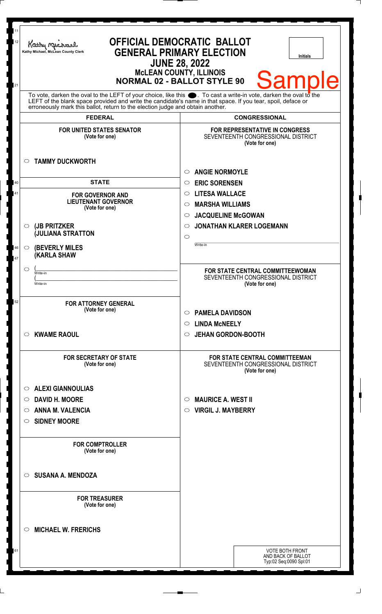| 12<br>21            | 11<br><b>OFFICIAL DEMOCRATIC BALLOT</b><br>Kathy Macharel<br><b>GENERAL PRIMARY ELECTION</b><br>Kathy Michael, McLean County Clerk<br><b>Initials</b><br><b>JUNE 28, 2022</b><br><b>McLEAN COUNTY, ILLINOIS</b><br>Sampl<br>Ie<br><b>NORMAL 02 - BALLOT STYLE 90</b>                                                   |                                                                                               |  |
|---------------------|------------------------------------------------------------------------------------------------------------------------------------------------------------------------------------------------------------------------------------------------------------------------------------------------------------------------|-----------------------------------------------------------------------------------------------|--|
|                     | To vote, darken the oval to the LEFT of your choice, like this $\bullet$ . To cast a write-in vote, darken the oval to the LEFT of the blank space provided and write the candidate's name in that space. If you tear, spoil, deface<br>erroneously mark this ballot, return to the election judge and obtain another. |                                                                                               |  |
|                     | <b>FEDERAL</b>                                                                                                                                                                                                                                                                                                         | <b>CONGRESSIONAL</b>                                                                          |  |
|                     | <b>FOR UNITED STATES SENATOR</b><br>(Vote for one)                                                                                                                                                                                                                                                                     | <b>FOR REPRESENTATIVE IN CONGRESS</b><br>SEVENTEENTH CONGRESSIONAL DISTRICT<br>(Vote for one) |  |
| $\circ$             | <b>TAMMY DUCKWORTH</b>                                                                                                                                                                                                                                                                                                 |                                                                                               |  |
| 40                  | <b>STATE</b>                                                                                                                                                                                                                                                                                                           | <b>ANGIE NORMOYLE</b><br>$\circ$<br><b>ERIC SORENSEN</b><br>$\circ$                           |  |
| 41                  | <b>FOR GOVERNOR AND</b>                                                                                                                                                                                                                                                                                                | <b>LITESA WALLACE</b><br>$\circ$                                                              |  |
|                     | <b>LIEUTENANT GOVERNOR</b>                                                                                                                                                                                                                                                                                             | <b>MARSHA WILLIAMS</b><br>$\circ$                                                             |  |
|                     | (Vote for one)                                                                                                                                                                                                                                                                                                         | <b>JACQUELINE McGOWAN</b><br>$\circ$                                                          |  |
| $\circ$             | (JB PRITZKER<br><b>JULIANA STRATTON</b>                                                                                                                                                                                                                                                                                | <b>JONATHAN KLARER LOGEMANN</b><br>$\circ$                                                    |  |
|                     |                                                                                                                                                                                                                                                                                                                        | $\circ$<br>Write-in                                                                           |  |
| $\circ$<br>46<br>47 | <b>(BEVERLY MILES)</b><br><b>KARLA SHAW</b>                                                                                                                                                                                                                                                                            |                                                                                               |  |
| $\circ$             | Write-in                                                                                                                                                                                                                                                                                                               | FOR STATE CENTRAL COMMITTEEWOMAN                                                              |  |
|                     | Write-in                                                                                                                                                                                                                                                                                                               | SEVENTEENTH CONGRESSIONAL DISTRICT<br>(Vote for one)                                          |  |
| 52                  | <b>FOR ATTORNEY GENERAL</b><br>(Vote for one)                                                                                                                                                                                                                                                                          | <b>PAMELA DAVIDSON</b><br>$\circ$                                                             |  |
| $\circ$             | <b>KWAME RAOUL</b>                                                                                                                                                                                                                                                                                                     | <b>LINDA MCNEELY</b><br>$\circ$<br><b>JEHAN GORDON-BOOTH</b><br>$\circ$                       |  |
|                     |                                                                                                                                                                                                                                                                                                                        |                                                                                               |  |
|                     | <b>FOR SECRETARY OF STATE</b><br>(Vote for one)                                                                                                                                                                                                                                                                        | <b>FOR STATE CENTRAL COMMITTEEMAN</b><br>SEVENTEENTH CONGRESSIONAL DISTRICT<br>(Vote for one) |  |
| $\circ$             | <b>ALEXI GIANNOULIAS</b>                                                                                                                                                                                                                                                                                               |                                                                                               |  |
| $\circ$             | <b>DAVID H. MOORE</b>                                                                                                                                                                                                                                                                                                  | <b>MAURICE A. WEST II</b><br>$\circ$                                                          |  |
| $\circ$             | <b>ANNA M. VALENCIA</b>                                                                                                                                                                                                                                                                                                | <b>VIRGIL J. MAYBERRY</b><br>O                                                                |  |
| $\circ$             | <b>SIDNEY MOORE</b>                                                                                                                                                                                                                                                                                                    |                                                                                               |  |
|                     | <b>FOR COMPTROLLER</b><br>(Vote for one)                                                                                                                                                                                                                                                                               |                                                                                               |  |
| $\circ$             | <b>SUSANA A. MENDOZA</b>                                                                                                                                                                                                                                                                                               |                                                                                               |  |
|                     | <b>FOR TREASURER</b><br>(Vote for one)                                                                                                                                                                                                                                                                                 |                                                                                               |  |
| ◯                   | <b>MICHAEL W. FRERICHS</b>                                                                                                                                                                                                                                                                                             |                                                                                               |  |
| 61                  |                                                                                                                                                                                                                                                                                                                        | <b>VOTE BOTH FRONT</b><br>AND BACK OF BALLOT<br>Typ:02 Seq:0090 Spl:01                        |  |